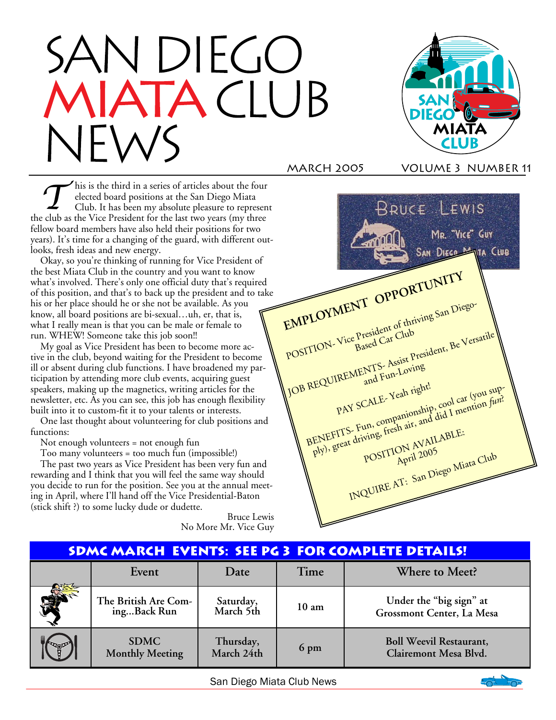# DIEGO



## March 2005 Volume 3 number 11

This is the third in a series of articles about the four<br>
club. It has been my absolute pleasure to represent<br>
Let us the sense of the club of the series of the series of the series of the series of the series of the serie elected board positions at the San Diego Miata the club as the Vice President for the last two years (my three fellow board members have also held their positions for two years). It's time for a changing of the guard, with different outlooks, fresh ideas and new energy.

Okay, so you're thinking of running for Vice President of the best Miata Club in the country and you want to know what's involved. There's only one official duty that's required of this position, and that's to back up the president and to take his or her place should he or she not be available. As you know, all board positions are bi-sexual…uh, er, that is, what I really mean is that you can be male or female to run. WHEW! Someone take this job soon!!

My goal as Vice President has been to become more active in the club, beyond waiting for the President to become ill or absent during club functions. I have broadened my participation by attending more club events, acquiring guest speakers, making up the magnetics, writing articles for the newsletter, etc. As you can see, this job has enough flexibility built into it to custom-fit it to your talents or interests.

One last thought about volunteering for club positions and functions:

Not enough volunteers = not enough fun

Too many volunteers = too much fun (impossible!)

The past two years as Vice President has been very fun and rewarding and I think that you will feel the same way should you decide to run for the position. See you at the annual meeting in April, where I'll hand off the Vice Presidential-Baton (stick shift ?) to some lucky dude or dudette.

> Bruce Lewis No More Mr. Vice Guy



| <b>SDMC MARCH EVENTS: SEE PG 3 FOR COMPLETE DETAILS!</b> |                                       |                         |                 |                                                         |
|----------------------------------------------------------|---------------------------------------|-------------------------|-----------------|---------------------------------------------------------|
|                                                          | Event                                 | Date                    | Time            | Where to Meet?                                          |
| 爱                                                        | The British Are Com-<br>ingBack Run   | Saturday,<br>March 5th  | $10 \text{ am}$ | Under the "big sign" at<br>Grossmont Center, La Mesa    |
| Cagnes                                                   | <b>SDMC</b><br><b>Monthly Meeting</b> | Thursday,<br>March 24th | 6 pm            | <b>Boll Weevil Restaurant,</b><br>Clairemont Mesa Blvd. |

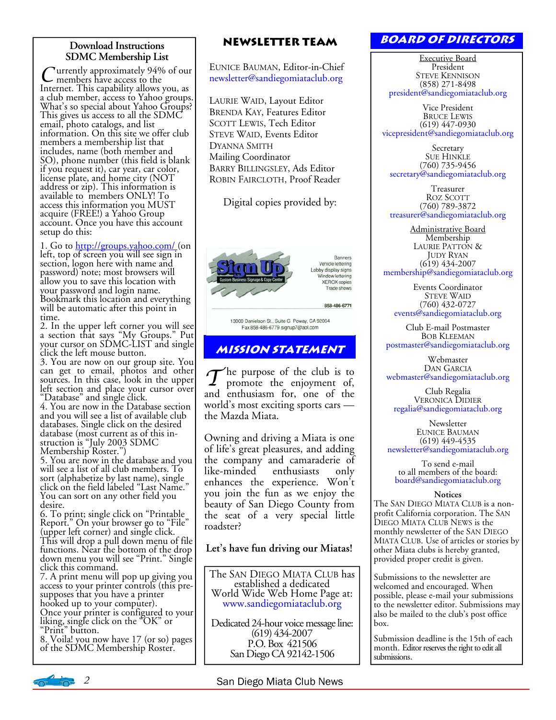## **Download Instructions SDMC Membership List**

C urrently approximately 94% of our<br>Internet. This capability allows you, as a club member, access to Yahoo groups. What's so special about Yahoo Groups? This gives us access to all the SDMC email, photo catalogs, and list information. On this site we offer club members a membership list that includes, name (both member and SO), phone number (this field is blank if you request it), car year, car color, license plate, and home city (NOT address or zip). This information is available to members ONLY! To access this information you MUST acquire (FREE!) a Yahoo Group account. Once you have this account setup do this:

1. Go to http://groups.yahoo.com/ (on left, top of screen you will see sign in section, logon here with name and password) note; most browsers will allow you to save this location with your password and login name. Bookmark this location and everything will be automatic after this point in time.

2. In the upper left corner you will see a section that says "My Groups." Put your cursor on SDMC-LIST and single click the left mouse button.

3. You are now on our group site. You can get to email, photos and other sources. In this case, look in the upper left section and place your cursor over "Database" and single click.

4. You are now in the Database section and you will see a list of available club databases. Single click on the desired database (most current as of this instruction is "July 2003 SDMC Membership Roster.")

5. You are now in the database and you will see a list of all club members. To sort (alphabetize by last name), single click on the field labeled "Last Name." You can sort on any other field you desire.

6. To print; single click on "Printable Report." On your browser go to "File" (upper left corner) and single click. This will drop a pull down menu of file functions. Near the bottom of the drop down menu you will see "Print." Single click this command.

7. A print menu will pop up giving you access to your printer controls (this presupposes that you have a printer hooked up to your computer).

Once your printer is configured to your liking, single click on the "OK" or "Print" button.

8. Voila! you now have 17 (or so) pages of the SDMC Membership Roster.

## **Newsletter Team**

EUNICE BAUMAN, Editor-in-Chief newsletter@sandiegomiataclub.org

LAURIE WAID, Layout Editor BRENDA KAY, Features Editor SCOTT LEWIS, Tech Editor STEVE WAID, Events Editor DYANNA SMITH Mailing Coordinator BARRY BILLINGSLEY, Ads Editor ROBIN FAIRCLOTH, Proof Reader

Digital copies provided by:



Banners Vehicle lettering Lobby display signs Window lettering **XEROX** copies Trade show

858-486-6771

13000 Danielson St., Suite G Poway, CA 92064 Fax 858-486-6779 signup7@aol.com

# **Mission statement**

 $\mathcal T$ he purpose of the club is to promote the enjoyment of, and enthusiasm for, one of the world's most exciting sports cars the Mazda Miata.

Owning and driving a Miata is one of life's great pleasures, and adding the company and camaraderie of<br>like-minded enthusiasts only enthusiasts only enhances the experience. Won't you join the fun as we enjoy the beauty of San Diego County from the seat of a very special little roadster?

## **Let's have fun driving our Miatas!**

The SAN DIEGO MIATA CLUB has established a dedicated World Wide Web Home Page at: www.sandiegomiataclub.org

Dedicated 24-hour voice message line: (619) 434-2007 P.O. Box 421506 San Diego CA 92142-1506

# **Board of Directors**

Executive Board President STEVE KENNISON (858) 271-8498 president@sandiegomiataclub.org

Vice President BRUCE LEWIS (619) 447-0930 vicepresident@sandiegomiataclub.org

**Secretary** SUE HINKLE (760) 735-9456 secretary@sandiegomiataclub.org

Treasurer ROZ SCOTT (760) 789-3872 treasurer@sandiegomiataclub.org

Administrative Board Membership LAURIE PATTON & JUDY RYAN (619) 434-2007 membership@sandiegomiataclub.org

Events Coordinator STEVE WAID (760) 432-0727 events@sandiegomiataclub.org

Club E-mail Postmaster BOB KLEEMAN postmaster@sandiegomiataclub.org

Webmaster DAN GARCIA webmaster@sandiegomiataclub.org

Club Regalia<br>VERONICA DIDIER regalia@sandiegomiataclub.org

**Newsletter** EUNICE BAUMAN (619) 449-4535 newsletter@sandiegomiataclub.org

To send e-mail to all members of the board: board@sandiegomiataclub.org

#### **Notices**

The SAN DIEGO MIATA CLUB is a nonprofit California corporation. The SAN DIEGO MIATA CLUB NEWS is the monthly newsletter of the SAN DIEGO MIATA CLUB. Use of articles or stories by other Miata clubs is hereby granted, provided proper credit is given.

Submissions to the newsletter are welcomed and encouraged. When possible, please e-mail your submissions to the newsletter editor. Submissions may also be mailed to the club's post office box.

Submission deadline is the 15th of each month. Editor reserves the right to edit all submissions.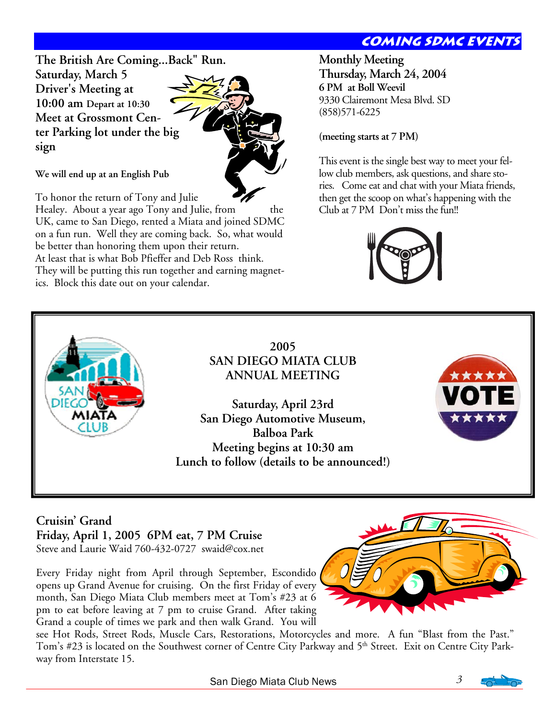# **COMING SDMC EVENT**

**The British Are Coming...Back" Run. Saturday, March 5 Driver's Meeting at 10:00 am Depart at 10:30 Meet at Grossmont Center Parking lot under the big sign** 



**We will end up at an English Pub** 

To honor the return of Tony and Julie

Healey. About a year ago Tony and Julie, from the UK, came to San Diego, rented a Miata and joined SDMC on a fun run. Well they are coming back. So, what would be better than honoring them upon their return. At least that is what Bob Pfieffer and Deb Ross think. They will be putting this run together and earning magnetics. Block this date out on your calendar.

**Monthly Meeting Thursday, March 24, 2004 6 PM at Boll Weevil**  9330 Clairemont Mesa Blvd. SD (858)571-6225

## **(meeting starts at 7 PM)**

This event is the single best way to meet your fellow club members, ask questions, and share stories. Come eat and chat with your Miata friends, then get the scoop on what's happening with the Club at 7 PM Don't miss the fun!!





**2005 SAN DIEGO MIATA CLUB ANNUAL MEETING** 

**Saturday, April 23rd San Diego Automotive Museum, Balboa Park Meeting begins at 10:30 am Lunch to follow (details to be announced!)** 



## **Cruisin' Grand Friday, April 1, 2005 6PM eat, 7 PM Cruise** Steve and Laurie Waid 760-432-0727 swaid@cox.net

Every Friday night from April through September, Escondido opens up Grand Avenue for cruising. On the first Friday of every month, San Diego Miata Club members meet at Tom's #23 at 6

pm to eat before leaving at 7 pm to cruise Grand. After taking Grand a couple of times we park and then walk Grand. You will



see Hot Rods, Street Rods, Muscle Cars, Restorations, Motorcycles and more. A fun "Blast from the Past." Tom's #23 is located on the Southwest corner of Centre City Parkway and 5<sup>th</sup> Street. Exit on Centre City Parkway from Interstate 15.

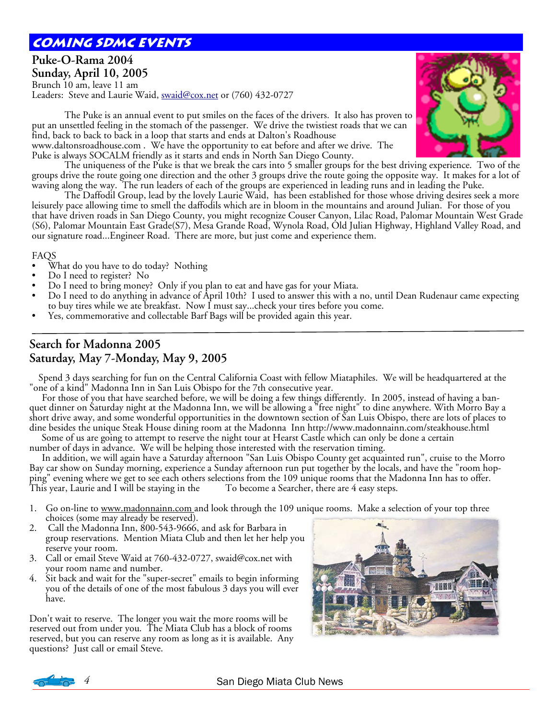# **coming sdmc events**

## **Puke-O-Rama 2004 Sunday, April 10, 2005**  Brunch 10 am, leave 11 am Leaders: Steve and Laurie Waid, swaid@cox.net or (760) 432-0727

 The Puke is an annual event to put smiles on the faces of the drivers. It also has proven to put an unsettled feeling in the stomach of the passenger. We drive the twistiest roads that we can find, back to back to back in a loop that starts and ends at Dalton's Roadhouse www.daltonsroadhouse.com . We have the opportunity to eat before and after we drive. The

Puke is always SOCALM friendly as it starts and ends in North San Diego County.

 The uniqueness of the Puke is that we break the cars into 5 smaller groups for the best driving experience. Two of the groups drive the route going one direction and the other 3 groups drive the route going the opposite way. It makes for a lot of waving along the way. The run leaders of each of the groups are experienced in leading runs and in leading the Puke.

 The Daffodil Group, lead by the lovely Laurie Waid, has been established for those whose driving desires seek a more leisurely pace allowing time to smell the daffodils which are in bloom in the mountains and around Julian. For those of you that have driven roads in San Diego County, you might recognize Couser Canyon, Lilac Road, Palomar Mountain West Grade (S6), Palomar Mountain East Grade(S7), Mesa Grande Road, Wynola Road, Old Julian Highway, Highland Valley Road, and our signature road...Engineer Road. There are more, but just come and experience them.

#### FAQS

- What do you have to do today? Nothing
- Do I need to register? No
- Do I need to bring money? Only if you plan to eat and have gas for your Miata.
- Do I need to do anything in advance of April 10th? I used to answer this with a no, until Dean Rudenaur came expecting to buy tires while we ate breakfast. Now I must say...check your tires before you come.
- Yes, commemorative and collectable Barf Bags will be provided again this year.

# **Search for Madonna 2005 Saturday, May 7-Monday, May 9, 2005**

 Spend 3 days searching for fun on the Central California Coast with fellow Miataphiles. We will be headquartered at the "one of a kind" Madonna Inn in San Luis Obispo for the 7th consecutive year.

 For those of you that have searched before, we will be doing a few things differently. In 2005, instead of having a banquet dinner on Saturday night at the Madonna Inn, we will be allowing a "free night" to dine anywhere. With Morro Bay a short drive away, and some wonderful opportunities in the downtown section of San Luis Obispo, there are lots of places to dine besides the unique Steak House dining room at the Madonna Inn http://www.madonnainn.com/steakhouse.html

Some of us are going to attempt to reserve the night tour at Hearst Castle which can only be done a certain number of days in advance. We will be helping those interested with the reservation timing.

 In addition, we will again have a Saturday afternoon "San Luis Obispo County get acquainted run", cruise to the Morro Bay car show on Sunday morning, experience a Sunday afternoon run put together by the locals, and have the "room hopping" evening where we get to see each others selections from the 109 unique rooms that the Madonna Inn has to offer.<br>This year, Laurie and I will be staying in the To become a Searcher, there are 4 easy steps. This year, Laurie and I will be staying in the

- 1. Go on-line to www.madonnainn.com and look through the 109 unique rooms. Make a selection of your top three choices (some may already be reserved).
- 2. Call the Madonna Inn, 800-543-9666, and ask for Barbara in group reservations. Mention Miata Club and then let her help you reserve your room.
- 3. Call or email Steve Waid at 760-432-0727, swaid@cox.net with your room name and number.
- 4. Sit back and wait for the "super-secret" emails to begin informing you of the details of one of the most fabulous 3 days you will ever have.

Don't wait to reserve. The longer you wait the more rooms will be reserved out from under you. The Miata Club has a block of rooms reserved, but you can reserve any room as long as it is available. Any questions? Just call or email Steve.







**5 San Diego Miata Club News**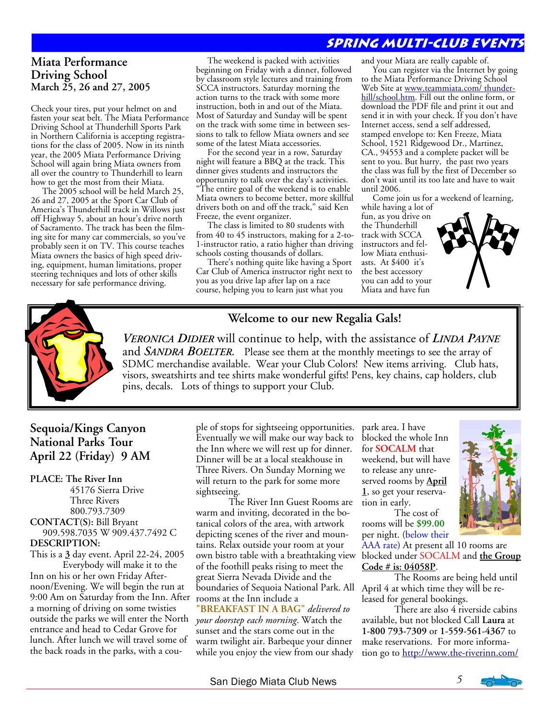# **Spring multi-club events**

## **Miata Performance Driving School March 25, 26 and 27, 2005**

Check your tires, put your helmet on and fasten your seat belt. The Miata Performance Driving School at Thunderhill Sports Park in Northern California is accepting registrations for the class of 2005. Now in its ninth year, the 2005 Miata Performance Driving School will again bring Miata owners from all over the country to Thunderhill to learn how to get the most from their Miata.

 The 2005 school will be held March 25, 26 and 27, 2005 at the Sport Car Club of America's Thunderhill track in Willows just off Highway 5, about an hour's drive north of Sacramento. The track has been the filming site for many car commercials, so you've probably seen it on TV. This course teaches Miata owners the basics of high speed driving, equipment, human limitations, proper steering techniques and lots of other skills necessary for safe performance driving.

 The weekend is packed with activities beginning on Friday with a dinner, followed by classroom style lectures and training from SCCA instructors. Saturday morning the action turns to the track with some more instruction, both in and out of the Miata. Most of Saturday and Sunday will be spent on the track with some time in between sessions to talk to fellow Miata owners and see some of the latest Miata accessories.

 For the second year in a row, Saturday night will feature a BBQ at the track. This dinner gives students and instructors the opportunity to talk over the day's activities.

"The entire goal of the weekend is to enable Miata owners to become better, more skillful drivers both on and off the track," said Ken Freeze, the event organizer.

 The class is limited to 80 students with from 40 to 45 instructors, making for a 2-to-1-instructor ratio, a ratio higher than driving schools costing thousands of dollars.

 There's nothing quite like having a Sport Car Club of America instructor right next to you as you drive lap after lap on a race course, helping you to learn just what you

and your Miata are really capable of.

 You can register via the Internet by going to the Miata Performance Driving School Web Site at www.teammiata.com/ thunderhill/school.htm. Fill out the online form, or download the PDF file and print it out and send it in with your check. If you don't have Internet access, send a self addressed, stamped envelope to: Ken Freeze, Miata School, 1521 Ridgewood Dr., Martinez, CA., 94553 and a complete packet will be sent to you. But hurry, the past two years the class was full by the first of December so don't wait until its too late and have to wait until 2006.

 Come join us for a weekend of learning, while having a lot of

fun, as you drive on the Thunderhill track with SCCA instructors and fellow Miata enthusiasts. At \$400 it's the best accessory you can add to your Miata and have fun





## **Welcome to our new Regalia Gals!**

*VERONICA DIDIER* will continue to help, with the assistance of *LINDA PAYNE* and *SANDRA BOELTER*. Please see them at the monthly meetings to see the array of SDMC merchandise available. Wear your Club Colors! New items arriving. Club hats, visors, sweatshirts and tee shirts make wonderful gifts! Pens, key chains, cap holders, club pins, decals. Lots of things to support your Club.

## **Sequoia/Kings Canyon National Parks Tour April 22 (Friday) 9 AM**

#### **PLACE: The River Inn**

 45176 Sierra Drive Three Rivers 800.793.7309 **CONTACT(S):** Bill Bryant 909.598.7035 W 909.437.7492 C **DESCRIPTION:**

This is a **3** day event. April 22-24, 2005 Everybody will make it to the Inn on his or her own Friday Afternoon/Evening. We will begin the run at 9:00 Am on Saturday from the Inn. After rooms at the Inn include a a morning of driving on some twisties outside the parks we will enter the North entrance and head to Cedar Grove for lunch. After lunch we will travel some of the back roads in the parks, with a cou-

ple of stops for sightseeing opportunities. Eventually we will make our way back to the Inn where we will rest up for dinner. Dinner will be at a local steakhouse in Three Rivers. On Sunday Morning we will return to the park for some more sightseeing.

 The River Inn Guest Rooms are warm and inviting, decorated in the botanical colors of the area, with artwork depicting scenes of the river and mountains. Relax outside your room at your own bistro table with a breathtaking view of the foothill peaks rising to meet the great Sierra Nevada Divide and the boundaries of Sequoia National Park. All April 4 at which time they will be re-

**"BREAKFAST IN A BAG"** *delivered to your doorstep each morning*. Watch the sunset and the stars come out in the warm twilight air. Barbeque your dinner while you enjoy the view from our shady park area. I have blocked the whole Inn for **SOCALM** that weekend, but will have to release any unreserved rooms by **April 1**, so get your reservation in early.

 The cost of rooms will be **\$99.00** per night. (below their

AAA rate) At present all 10 rooms are blocked under SOCALM and **the Group Code # is: 04058P**.

 The Rooms are being held until leased for general bookings.

 There are also 4 riverside cabins available, but not blocked Call **Laura** at **1-800 793-7309** or **1-559-561-4367** to make reservations. For more information go to http://www.the-riverinn.com/

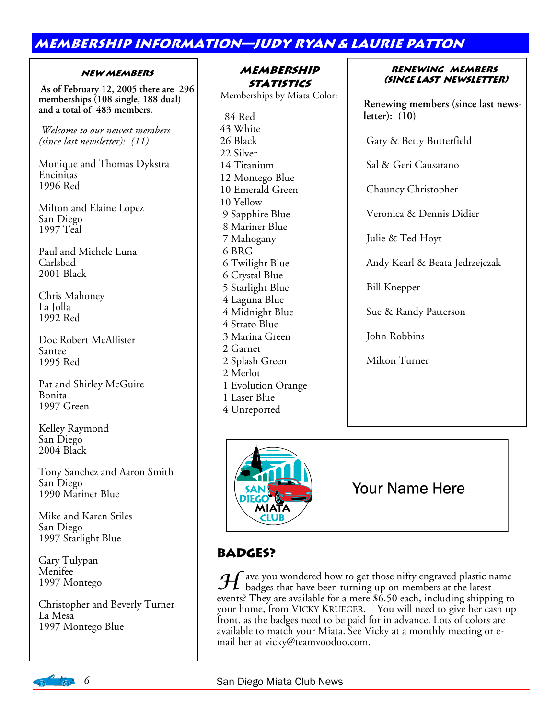# **membership information—judy ryan & laurie patton**

## **New Members**

 **As of February 12, 2005 there are 296 memberships (108 single, 188 dual) and a total of 483 members.** 

*Welcome to our newest members (since last newsletter): (11)* 

Monique and Thomas Dykstra Encinitas 1996 Red

Milton and Elaine Lopez San Diego 1997 Teal

Paul and Michele Luna Carlsbad 2001 Black

Chris Mahoney La Jolla 1992 Red

Doc Robert McAllister Santee 1995 Red

Pat and Shirley McGuire Bonita 1997 Green

Kelley Raymond San Diego 2004 Black

Tony Sanchez and Aaron Smith San Diego 1990 Mariner Blue

Mike and Karen Stiles San Diego 1997 Starlight Blue

Gary Tulypan Menifee 1997 Montego

Christopher and Beverly Turner La Mesa 1997 Montego Blue

## **Membership Statistics**

Memberships by Miata Color:

 84 Red 43 White 26 Black 22 Silver 14 Titanium 12 Montego Blue 10 Emerald Green 10 Yellow 9 Sapphire Blue 8 Mariner Blue 7 Mahogany 6 BRG 6 Twilight Blue 6 Crystal Blue 5 Starlight Blue 4 Laguna Blue 4 Midnight Blue 4 Strato Blue 3 Marina Green 2 Garnet 2 Splash Green 2 Merlot 1 Evolution Orange 1 Laser Blue 4 Unreported

**Renewing members (since last newsletter)**

**Renewing members (since last newsletter): (10)** 

Gary & Betty Butterfield

Sal & Geri Causarano

Chauncy Christopher

Veronica & Dennis Didier

Julie & Ted Hoyt

Andy Kearl & Beata Jedrzejczak

Bill Knepper

Sue & Randy Patterson

John Robbins

Milton Turner



# Your Name Here

# **Badges?**

 ${\mathcal H}$  ave you wondered how to get those nifty engraved plastic name badges that have been turning up on members at the latest events? They are available for a mere \$6.50 each, including shipping to your home, from VICKY KRUEGER. You will need to give her cash up front, as the badges need to be paid for in advance. Lots of colors are available to match your Miata. See Vicky at a monthly meeting or email her at vicky@teamvoodoo.com.

## *6* San Diego Miata Club News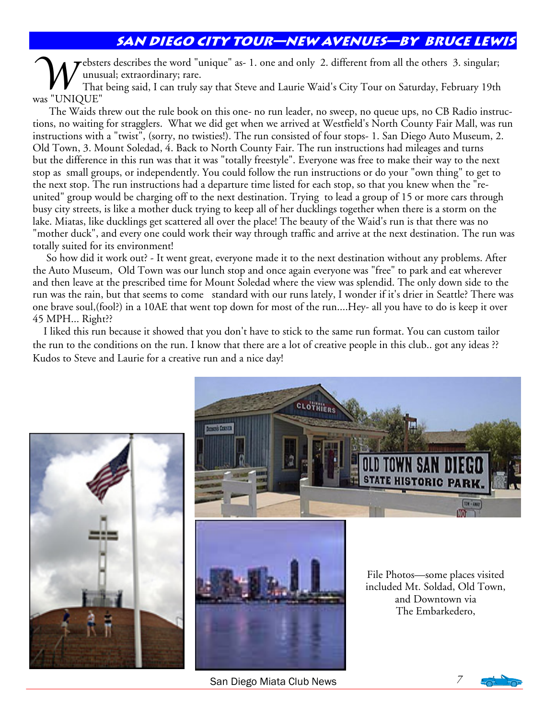# **San Diego City Tour—new avenues—by bruce lewis**

W ebsters describes the word "unique" as- 1. one and only 2. different from all the others 3. singular;<br>That being said, I can truly say that Steve and Laurie Waid's City Tour on Saturday, February 19th<br>That being said, I unusual; extraordinary; rare. was "UNIQUE"

 The Waids threw out the rule book on this one- no run leader, no sweep, no queue ups, no CB Radio instructions, no waiting for stragglers. What we did get when we arrived at Westfield's North County Fair Mall, was run instructions with a "twist", (sorry, no twisties!). The run consisted of four stops- 1. San Diego Auto Museum, 2. Old Town, 3. Mount Soledad, 4. Back to North County Fair. The run instructions had mileages and turns but the difference in this run was that it was "totally freestyle". Everyone was free to make their way to the next stop as small groups, or independently. You could follow the run instructions or do your "own thing" to get to the next stop. The run instructions had a departure time listed for each stop, so that you knew when the "reunited" group would be charging off to the next destination. Trying to lead a group of 15 or more cars through busy city streets, is like a mother duck trying to keep all of her ducklings together when there is a storm on the lake. Miatas, like ducklings get scattered all over the place! The beauty of the Waid's run is that there was no "mother duck", and every one could work their way through traffic and arrive at the next destination. The run was totally suited for its environment!

 So how did it work out? - It went great, everyone made it to the next destination without any problems. After the Auto Museum, Old Town was our lunch stop and once again everyone was "free" to park and eat wherever and then leave at the prescribed time for Mount Soledad where the view was splendid. The only down side to the run was the rain, but that seems to come standard with our runs lately, I wonder if it's drier in Seattle? There was one brave soul,(fool?) in a 10AE that went top down for most of the run....Hey- all you have to do is keep it over 45 MPH... Right??

 I liked this run because it showed that you don't have to stick to the same run format. You can custom tailor the run to the conditions on the run. I know that there are a lot of creative people in this club.. got any ideas ?? Kudos to Steve and Laurie for a creative run and a nice day!





San Diego Miata Club News *7* 

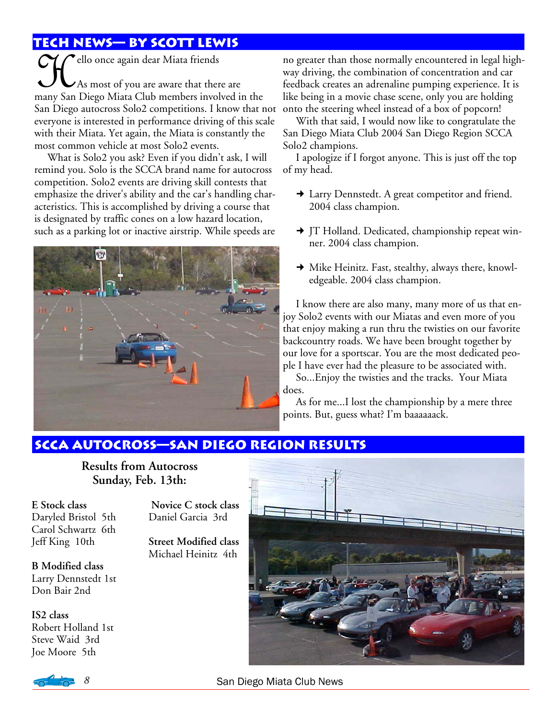# **Tech news— by scott lewis**

**CHC** ello once again dear Miata friends<br>As most of you are aware that ther<br>many San Diego Miata Club members invol As most of you are aware that there are many San Diego Miata Club members involved in the San Diego autocross Solo2 competitions. I know that not everyone is interested in performance driving of this scale with their Miata. Yet again, the Miata is constantly the most common vehicle at most Solo2 events.

What is Solo2 you ask? Even if you didn't ask, I will remind you. Solo is the SCCA brand name for autocross competition. Solo2 events are driving skill contests that emphasize the driver's ability and the car's handling characteristics. This is accomplished by driving a course that is designated by traffic cones on a low hazard location, such as a parking lot or inactive airstrip. While speeds are



no greater than those normally encountered in legal highway driving, the combination of concentration and car feedback creates an adrenaline pumping experience. It is like being in a movie chase scene, only you are holding onto the steering wheel instead of a box of popcorn!

With that said, I would now like to congratulate the San Diego Miata Club 2004 San Diego Region SCCA Solo2 champions.

I apologize if I forgot anyone. This is just off the top of my head.

- Larry Dennstedt. A great competitor and friend. 2004 class champion.
- → JT Holland. Dedicated, championship repeat winner. 2004 class champion.
- Mike Heinitz. Fast, stealthy, always there, knowledgeable. 2004 class champion.

I know there are also many, many more of us that enjoy Solo2 events with our Miatas and even more of you that enjoy making a run thru the twisties on our favorite backcountry roads. We have been brought together by our love for a sportscar. You are the most dedicated people I have ever had the pleasure to be associated with.

So...Enjoy the twisties and the tracks. Your Miata does.

As for me...I lost the championship by a mere three points. But, guess what? I'm baaaaaack.

# **Scca autocross—san Diego region results**

**Results from Autocross Sunday, Feb. 13th:** 

**E Stock class** Daryled Bristol 5th Carol Schwartz 6th Jeff King 10th

**Novice C stock class**  Daniel Garcia 3rd

**Street Modified class**  Michael Heinitz 4th

**B Modified class**  Larry Dennstedt 1st Don Bair 2nd

**IS2 class**  Robert Holland 1st Steve Waid 3rd Joe Moore 5th

 $\sqrt{2}$ 



*8* San Diego Miata Club News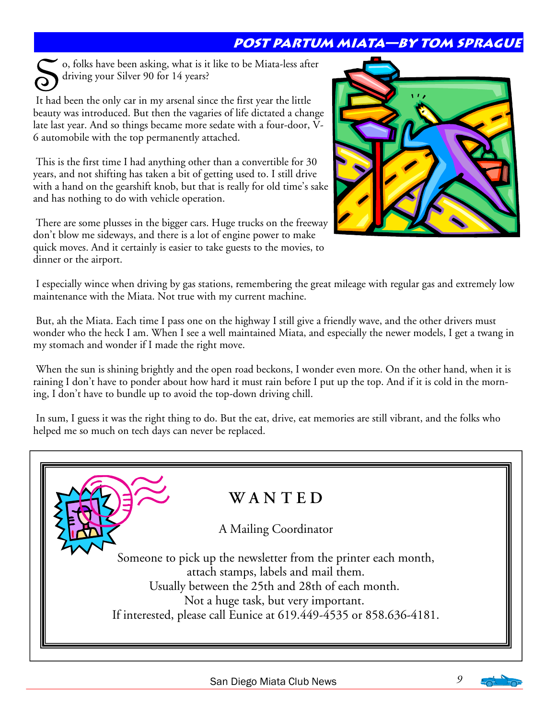# **Post Partum Miata—by tom sprague**

o, folks have been asking, what is it like to be Miata-less after driving your Silver 90 for 14 years?

 It had been the only car in my arsenal since the first year the little beauty was introduced. But then the vagaries of life dictated a change late last year. And so things became more sedate with a four-door, V-6 automobile with the top permanently attached.

 This is the first time I had anything other than a convertible for 30 years, and not shifting has taken a bit of getting used to. I still drive with a hand on the gearshift knob, but that is really for old time's sake and has nothing to do with vehicle operation.

 There are some plusses in the bigger cars. Huge trucks on the freeway don't blow me sideways, and there is a lot of engine power to make quick moves. And it certainly is easier to take guests to the movies, to dinner or the airport.



 I especially wince when driving by gas stations, remembering the great mileage with regular gas and extremely low maintenance with the Miata. Not true with my current machine.

 But, ah the Miata. Each time I pass one on the highway I still give a friendly wave, and the other drivers must wonder who the heck I am. When I see a well maintained Miata, and especially the newer models, I get a twang in my stomach and wonder if I made the right move.

 When the sun is shining brightly and the open road beckons, I wonder even more. On the other hand, when it is raining I don't have to ponder about how hard it must rain before I put up the top. And if it is cold in the morning, I don't have to bundle up to avoid the top-down driving chill.

 In sum, I guess it was the right thing to do. But the eat, drive, eat memories are still vibrant, and the folks who helped me so much on tech days can never be replaced.

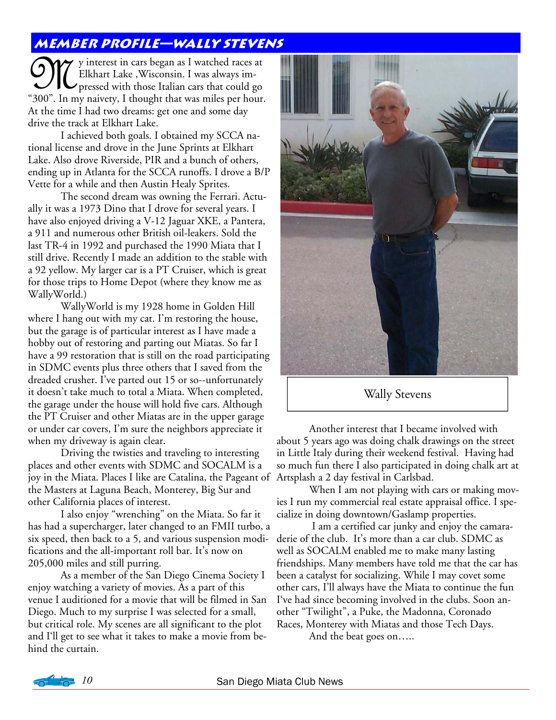# **Member profile—wally stevens**

W y interest in cars began as I watched races at Elkhart Lake , Wisconsin. I was always im-<br>
"300". In my naivety. I thought that was miles per hour Elkhart Lake ,Wisconsin. I was always impressed with those Italian cars that could go "300". In my naivety, I thought that was miles per hour. At the time I had two dreams: get one and some day drive the track at Elkhart Lake.

 I achieved both goals. I obtained my SCCA national license and drove in the June Sprints at Elkhart Lake. Also drove Riverside, PIR and a bunch of others, ending up in Atlanta for the SCCA runoffs. I drove a B/P Vette for a while and then Austin Healy Sprites.

 The second dream was owning the Ferrari. Actually it was a 1973 Dino that I drove for several years. I have also enjoyed driving a V-12 Jaguar XKE, a Pantera, a 911 and numerous other British oil-leakers. Sold the last TR-4 in 1992 and purchased the 1990 Miata that I still drive. Recently I made an addition to the stable with a 92 yellow. My larger car is a PT Cruiser, which is great for those trips to Home Depot (where they know me as WallyWorld.)

 WallyWorld is my 1928 home in Golden Hill where I hang out with my cat. I'm restoring the house, but the garage is of particular interest as I have made a hobby out of restoring and parting out Miatas. So far I have a 99 restoration that is still on the road participating in SDMC events plus three others that I saved from the dreaded crusher. I've parted out 15 or so--unfortunately it doesn't take much to total a Miata. When completed, the garage under the house will hold five cars. Although the PT Cruiser and other Miatas are in the upper garage or under car covers, I'm sure the neighbors appreciate it when my driveway is again clear.

 Driving the twisties and traveling to interesting places and other events with SDMC and SOCALM is a joy in the Miata. Places I like are Catalina, the Pageant of Artsplash a 2 day festival in Carlsbad. the Masters at Laguna Beach, Monterey, Big Sur and other California places of interest.

 I also enjoy "wrenching" on the Miata. So far it has had a supercharger, later changed to an FMII turbo, a six speed, then back to a 5, and various suspension modifications and the all-important roll bar. It's now on 205,000 miles and still purring.

 As a member of the San Diego Cinema Society I enjoy watching a variety of movies. As a part of this venue I auditioned for a movie that will be filmed in San Diego. Much to my surprise I was selected for a small, but critical role. My scenes are all significant to the plot and I'll get to see what it takes to make a movie from behind the curtain.



Wally Stevens

 Another interest that I became involved with about 5 years ago was doing chalk drawings on the street in Little Italy during their weekend festival. Having had so much fun there I also participated in doing chalk art at

 When I am not playing with cars or making movies I run my commercial real estate appraisal office. I specialize in doing downtown/Gaslamp properties.

 I am a certified car junky and enjoy the camaraderie of the club. It's more than a car club. SDMC as well as SOCALM enabled me to make many lasting friendships. Many members have told me that the car has been a catalyst for socializing. While I may covet some other cars, I'll always have the Miata to continue the fun I've had since becoming involved in the clubs. Soon another "Twilight", a Puke, the Madonna, Coronado Races, Monterey with Miatas and those Tech Days.

And the beat goes on…..

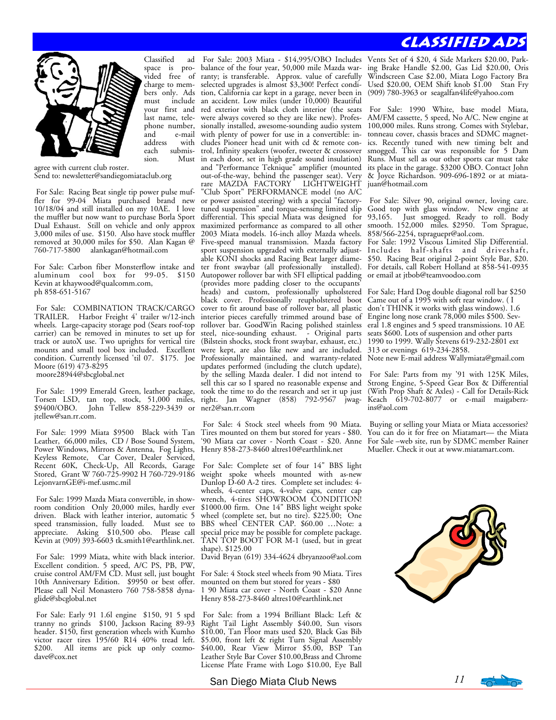# **Classified Ads**



Classified ad space is provided free of charge to members only. Ads include your first and last name, telephone number,<br>and e-mail e-mail each submis-<br>sion Must

agree with current club roster. Send to: newsletter@sandiegomiataclub.org

 For Sale: Racing Beat single tip power pulse muffler for 99-04 Miata purchased brand new 10/18/04 and still installed on my 10AE. I love the muffler but now want to purchase Borla Sport Dual Exhaust. Still on vehicle and only approx 3,000 miles of use. \$150. Also have stock muffler removed at 30,000 miles for \$50. Alan Kagan @ 760-717-5800 alankagan@hotmail.com

For Sale: Carbon fiber Monsterflow intake and aluminum cool box for 99-05. \$150 Kevin at khaywood@qualcomm.com, ph 858-651-5167

 For Sale: COMBINATION TRACK/CARGO TRAILER. Harbor Freight 4' trailer w/12-inch wheels. Large-capacity storage pod (Sears roof-top carrier) can be removed in minutes to set up for track or autoX use. Two uprights for vertical tire mounts and small tool box included. Excellent Moore (619) 473-8295 moore28944@sbcglobal.net

 For Sale: 1999 Emerald Green, leather package, Torsen LSD, tan top, stock, 51,000 miles, \$9400/OBO. John Tellew 858-229-3439 or jtellew@san.rr.com.

 For Sale: 1999 Miata \$9500 Black with Tan Leather, 66,000 miles, CD / Bose Sound System, Power Windows, Mirrors & Antenna, Fog Lights, Keyless Remote, Car Cover, Dealer Serviced, Recent 60K, Check-Up, All Records, Garage Stored, Grant W 760-725-9902 H 760-729-9186 LejonvarnGE@i-mef.usmc.mil

 For Sale: 1999 Mazda Miata convertible, in showroom condition Only 20,000 miles, hardly ever driven. Black with leather interior, automatic 5 speed transmission, fully loaded. Must see to appreciate. Asking \$10,500 obo. Please call Kevin at (909) 393-6603 tk.smith1@earthlink.net.

 For Sale: 1999 Miata, white with black interior. Excellent condition. 5 speed, A/C PS, PB, PW, cruise control AM/FM CD. Must sell, just bought 10th Anniversary Edition. \$9950 or best offer. Please call Neil Monastero 760 758-5858 dynaglide@sbcglobal.net

 For Sale: Early 91 1.6l engine \$150, 91 5 spd tranny no grinds \$100, Jackson Racing 89-93 header. \$150, first generation wheels with Kumho victor racer tires 195/60 R14 40% tread left.<br>\$200. All items are pick up only cozmo-All items are pick up only cozmodave@cox.net

address with cludes Pioneer head unit with cd & remote consion. Must in each door, set in high grade sound insulation) condition. Currently licensed 'til 07. \$175. Joe Professionally maintained, and warranty-related For Sale: 2003 Miata - \$14,995/OBO Includes balance of the four year, 50,000 mile Mazda warranty; is transferable. Approx. value of carefully selected upgrades is almost \$3,300! Perfect condition, California car kept in a garage, never been in an accident. Low miles (under 10,000) Beautiful red exterior with black cloth interior (the seats were always covered so they are like new). Professionally installed, awesome-sounding audio system with plenty of power for use in a convertible: introl, Infinity speakers (woofer, tweeter & crossover and "Performance Teknique" amplifier (mounted out-of-the-way, behind the passenger seat). Very rare MAZDA FACTORY LIGHTWEIGHT "Club Sport" PERFORMANCE model (no A/C or power assisted steering) with a special "factorytuned suspension" and torque-sensing limited slip differential. This special Miata was designed for maximized performance as compared to all other 2003 Miata models. 16-inch alloy Mazda wheels. Five-speed manual transmission. Mazda factory sport suspension upgraded with externally adjustable KONI shocks and Racing Beat larger diameter front swaybar (all professionally installed). Autopower rollover bar with SFI elliptical padding or email at jtbob@teamvoodoo.com (provides more padding closer to the occupants' heads) and custom, professionally upholstered black cover. Professionally reupholstered boot cover to fit around base of rollover bar, all plastic interior pieces carefully trimmed around base of rollover bar. GoodWin Racing polished stainless steel, nice-sounding exhaust. - Original parts (Bilstein shocks, stock front swaybar, exhaust, etc.) were kept, are also like new and are included. updates performed (including the clutch update), by the selling Mazda dealer. I did not intend to sell this car so I spared no reasonable expense and took the time to do the research and set it up just right. Jan Wagner (858) 792-9567 jwagner2@san.rr.com

> For Sale: 4 Stock steel wheels from 90 Miata. Tires mounted on them but stored for years - \$80. '90 Miata car cover - North Coast - \$20. Anne Henry 858-273-8460 altres10@earthlink.net

> For Sale: Complete set of four 14" BBS light weight spoke wheels mounted with as-new Dunlop D-60 A-2 tires. Complete set includes: 4 wheels, 4-center caps, 4-valve caps, center cap wrench, 4-tires SHOWROOM CONDITION! \$1000.00 firm. One 14" BBS light weight spoke wheel (complete set, but no tire). \$225.00; One BBS wheel CENTER CAP. \$60.00 ... Note: a special price may be possible for complete package. TAN TOP BOOT FOR M-1 (used, but in great shape). \$125.00

> David Bryan (619) 334-4624 dbryanzoo@aol.com

For Sale: 4 Stock steel wheels from 90 Miata. Tires mounted on them but stored for years - \$80 1 90 Miata car cover - North Coast - \$20 Anne Henry 858-273-8460 altres10@earthlink.net

 For Sale: from a 1994 Brilliant Black: Left & Right Tail Light Assembly \$40.00, Sun visors \$10.00, Tan Floor mats used \$20, Black Gas Bib \$5.00, front left & right Turn Signal Assembly \$40.00, Rear View Mirror \$5.00, BSP Tan Leather Style Bar Cover \$10.00,Brass and Chrome License Plate Frame with Logo \$10.00, Eye Ball

Vents Set of 4 \$20, 4 Side Markers \$20.00, Parking Brake Handle \$2.00, Gas Lid \$20.00, Oris Windscreen Case \$2.00, Miata Logo Factory Bra Used \$20.00, OEM Shift knob \$1.00 Stan Fry (909) 780-3963 or seagalfan4life@yahoo.com

 For Sale: 1990 White, base model Miata, AM/FM cassette, 5 speed, No A/C. New engine at 100,000 miles. Runs strong. Comes with Stylebar, tonneau cover, chassis braces and SDMC magnetics. Recently tuned with new timing belt and smogged. This car was responsible for 5 Dam Runs. Must sell as our other sports car must take its place in the garage. \$3200 OBO. Contact John & Joyce Richardson. 909-696-1892 or at miatajuan@hotmail.com

 For Sale: Silver 90, original owner, loving care. Good top with glass window. New engine at 93,165. Just smogged. Ready to roll. Body smooth. 152,000 miles. \$2950. Tom Sprague, 858/566-2254, tspraguepr@aol.com.

For Sale: 1992 Viscous Limited Slip Differential. Includes half-shafts and driveshaft, \$50. Racing Beat original 2-point Style Bar, \$20. For details, call Robert Holland at 858-541-0935

For Sale; Hard Dog double diagonal roll bar \$250 Came out of a 1995 with soft rear window. ( I don't THINK it works with glass windows). 1.6 Engine long nose crank 78,000 miles \$500. Several 1.8 engines and 5 speed transmissions. 10 AE seats \$600. Lots of suspension and other parts 1990 to 1999. Wally Stevens 619-232-2801 ext 313 or evenings 619-234-2858. Note new E-mail address Wallymiata@gmail.com

 For Sale: Parts from my '91 with 125K Miles, Strong Engine, 5-Speed Gear Box & Differential (With Prop Shaft & Axles) - Call for Details-Rick Keach 619-702-8077 or e-mail maigaberzins@aol.com

 Buying or selling your Miata or Miata accessories? You can do it for free on Miatamart— the Miata For Sale –web site, run by SDMC member Rainer Mueller. Check it out at www.miatamart.com.